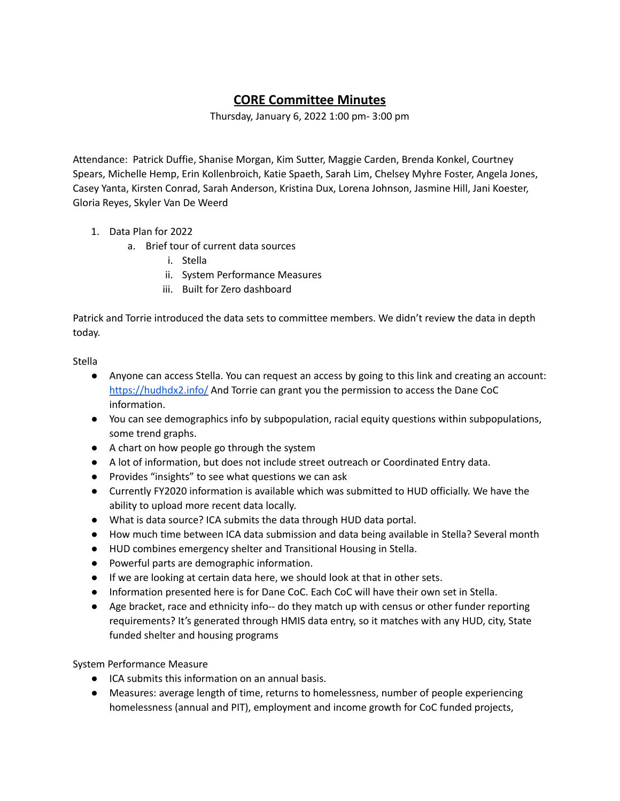## **CORE Committee Minutes**

Thursday, January 6, 2022 1:00 pm- 3:00 pm

Attendance: Patrick Duffie, Shanise Morgan, Kim Sutter, Maggie Carden, Brenda Konkel, Courtney Spears, Michelle Hemp, Erin Kollenbroich, Katie Spaeth, Sarah Lim, Chelsey Myhre Foster, Angela Jones, Casey Yanta, Kirsten Conrad, Sarah Anderson, Kristina Dux, Lorena Johnson, Jasmine Hill, Jani Koester, Gloria Reyes, Skyler Van De Weerd

- 1. Data Plan for 2022
	- a. Brief tour of current data sources
		- i. Stella
		- ii. System Performance Measures
		- iii. Built for Zero dashboard

Patrick and Torrie introduced the data sets to committee members. We didn't review the data in depth today.

Stella

- Anyone can access Stella. You can request an access by going to this link and creating an account: <https://hudhdx2.info/> And Torrie can grant you the permission to access the Dane CoC information.
- You can see demographics info by subpopulation, racial equity questions within subpopulations, some trend graphs.
- A chart on how people go through the system
- A lot of information, but does not include street outreach or Coordinated Entry data.
- Provides "insights" to see what questions we can ask
- Currently FY2020 information is available which was submitted to HUD officially. We have the ability to upload more recent data locally.
- What is data source? ICA submits the data through HUD data portal.
- How much time between ICA data submission and data being available in Stella? Several month
- HUD combines emergency shelter and Transitional Housing in Stella.
- Powerful parts are demographic information.
- If we are looking at certain data here, we should look at that in other sets.
- Information presented here is for Dane CoC. Each CoC will have their own set in Stella.
- Age bracket, race and ethnicity info-- do they match up with census or other funder reporting requirements? It's generated through HMIS data entry, so it matches with any HUD, city, State funded shelter and housing programs

System Performance Measure

- ICA submits this information on an annual basis.
- Measures: average length of time, returns to homelessness, number of people experiencing homelessness (annual and PIT), employment and income growth for CoC funded projects,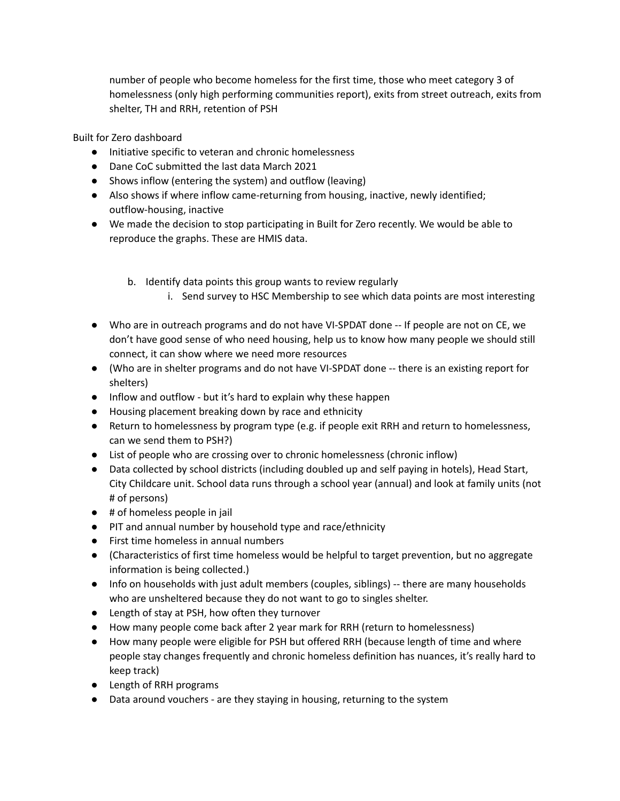number of people who become homeless for the first time, those who meet category 3 of homelessness (only high performing communities report), exits from street outreach, exits from shelter, TH and RRH, retention of PSH

Built for Zero dashboard

- Initiative specific to veteran and chronic homelessness
- Dane CoC submitted the last data March 2021
- Shows inflow (entering the system) and outflow (leaving)
- Also shows if where inflow came-returning from housing, inactive, newly identified; outflow-housing, inactive
- We made the decision to stop participating in Built for Zero recently. We would be able to reproduce the graphs. These are HMIS data.
	- b. Identify data points this group wants to review regularly
		- i. Send survey to HSC Membership to see which data points are most interesting
- Who are in outreach programs and do not have VI-SPDAT done -- If people are not on CE, we don't have good sense of who need housing, help us to know how many people we should still connect, it can show where we need more resources
- (Who are in shelter programs and do not have VI-SPDAT done -- there is an existing report for shelters)
- Inflow and outflow but it's hard to explain why these happen
- Housing placement breaking down by race and ethnicity
- Return to homelessness by program type (e.g. if people exit RRH and return to homelessness, can we send them to PSH?)
- List of people who are crossing over to chronic homelessness (chronic inflow)
- Data collected by school districts (including doubled up and self paying in hotels), Head Start, City Childcare unit. School data runs through a school year (annual) and look at family units (not # of persons)
- # of homeless people in jail
- PIT and annual number by household type and race/ethnicity
- First time homeless in annual numbers
- (Characteristics of first time homeless would be helpful to target prevention, but no aggregate information is being collected.)
- Info on households with just adult members (couples, siblings) -- there are many households who are unsheltered because they do not want to go to singles shelter.
- Length of stay at PSH, how often they turnover
- How many people come back after 2 year mark for RRH (return to homelessness)
- How many people were eligible for PSH but offered RRH (because length of time and where people stay changes frequently and chronic homeless definition has nuances, it's really hard to keep track)
- Length of RRH programs
- Data around vouchers are they staying in housing, returning to the system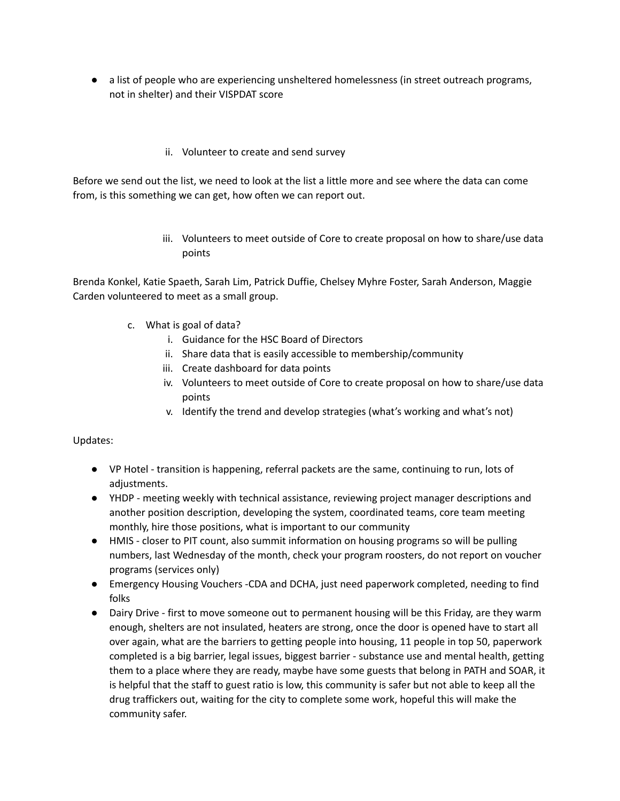● a list of people who are experiencing unsheltered homelessness (in street outreach programs, not in shelter) and their VISPDAT score

## ii. Volunteer to create and send survey

Before we send out the list, we need to look at the list a little more and see where the data can come from, is this something we can get, how often we can report out.

> iii. Volunteers to meet outside of Core to create proposal on how to share/use data points

Brenda Konkel, Katie Spaeth, Sarah Lim, Patrick Duffie, Chelsey Myhre Foster, Sarah Anderson, Maggie Carden volunteered to meet as a small group.

- c. What is goal of data?
	- i. Guidance for the HSC Board of Directors
	- ii. Share data that is easily accessible to membership/community
	- iii. Create dashboard for data points
	- iv. Volunteers to meet outside of Core to create proposal on how to share/use data points
	- v. Identify the trend and develop strategies (what's working and what's not)

## Updates:

- VP Hotel transition is happening, referral packets are the same, continuing to run, lots of adjustments.
- YHDP meeting weekly with technical assistance, reviewing project manager descriptions and another position description, developing the system, coordinated teams, core team meeting monthly, hire those positions, what is important to our community
- HMIS closer to PIT count, also summit information on housing programs so will be pulling numbers, last Wednesday of the month, check your program roosters, do not report on voucher programs (services only)
- Emergency Housing Vouchers -CDA and DCHA, just need paperwork completed, needing to find folks
- Dairy Drive first to move someone out to permanent housing will be this Friday, are they warm enough, shelters are not insulated, heaters are strong, once the door is opened have to start all over again, what are the barriers to getting people into housing, 11 people in top 50, paperwork completed is a big barrier, legal issues, biggest barrier - substance use and mental health, getting them to a place where they are ready, maybe have some guests that belong in PATH and SOAR, it is helpful that the staff to guest ratio is low, this community is safer but not able to keep all the drug traffickers out, waiting for the city to complete some work, hopeful this will make the community safer.